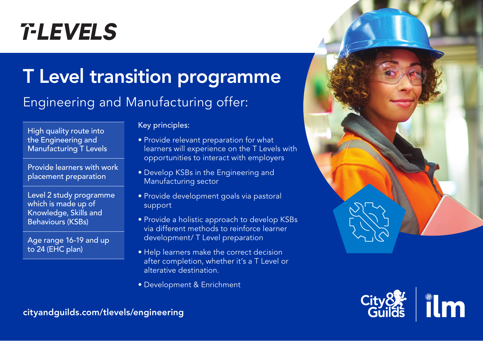# **T-LEVELS**

## T Level transition programme

## Engineering and Manufacturing offer:

High quality route into the Engineering and Manufacturing T Levels

Provide learners with work placement preparation

Level 2 study programme which is made up of Knowledge, Skills and Behaviours (KSBs)

Age range 16-19 and up to 24 (EHC plan)

#### Key principles:

- Provide relevant preparation for what learners will experience on the T Levels with opportunities to interact with employers
- Develop KSBs in the Engineering and Manufacturing sector
- Provide development goals via pastoral support
- Provide a holistic approach to develop KSBs via different methods to reinforce learner development/ T Level preparation
- Help learners make the correct decision after completion, whether it's a T Level or alterative destination.
- Development & Enrichment





cityandguilds.com/tlevels/engineering